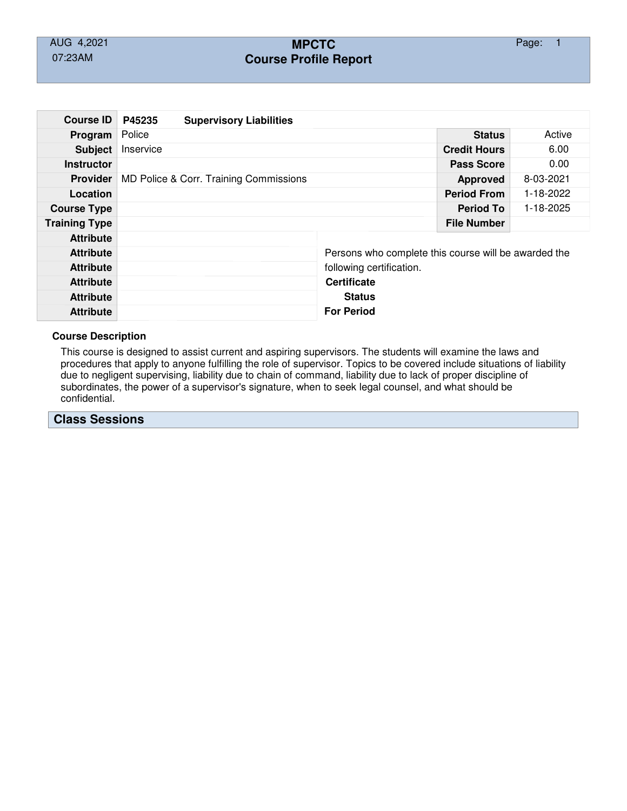# AUG 4,2021 **MPCTC** Page: 1 07:23AM **Course Profile Report**

| <b>Course ID</b>     | P45235                                 | <b>Supervisory Liabilities</b> |  |                                                      |                     |        |  |  |
|----------------------|----------------------------------------|--------------------------------|--|------------------------------------------------------|---------------------|--------|--|--|
| Program              | Police                                 |                                |  |                                                      | <b>Status</b>       | Active |  |  |
| <b>Subject</b>       | Inservice                              |                                |  |                                                      | <b>Credit Hours</b> | 6.00   |  |  |
| <b>Instructor</b>    |                                        |                                |  | <b>Pass Score</b>                                    | 0.00                |        |  |  |
| <b>Provider</b>      | MD Police & Corr. Training Commissions |                                |  | <b>Approved</b>                                      | 8-03-2021           |        |  |  |
| Location             |                                        |                                |  | <b>Period From</b>                                   | 1-18-2022           |        |  |  |
| <b>Course Type</b>   |                                        |                                |  | <b>Period To</b>                                     | 1-18-2025           |        |  |  |
| <b>Training Type</b> |                                        |                                |  |                                                      | <b>File Number</b>  |        |  |  |
| <b>Attribute</b>     |                                        |                                |  |                                                      |                     |        |  |  |
| <b>Attribute</b>     |                                        |                                |  | Persons who complete this course will be awarded the |                     |        |  |  |
| <b>Attribute</b>     |                                        |                                |  | following certification.                             |                     |        |  |  |
| <b>Attribute</b>     |                                        |                                |  | <b>Certificate</b>                                   |                     |        |  |  |
| <b>Attribute</b>     |                                        |                                |  | <b>Status</b>                                        |                     |        |  |  |
| <b>Attribute</b>     |                                        |                                |  | <b>For Period</b>                                    |                     |        |  |  |

### **Course Description**

This course is designed to assist current and aspiring supervisors. The students will examine the laws and procedures that apply to anyone fulfilling the role of supervisor. Topics to be covered include situations of liability due to negligent supervising, liability due to chain of command, liability due to lack of proper discipline of subordinates, the power of a supervisor's signature, when to seek legal counsel, and what should be confidential.

## **Class Sessions**